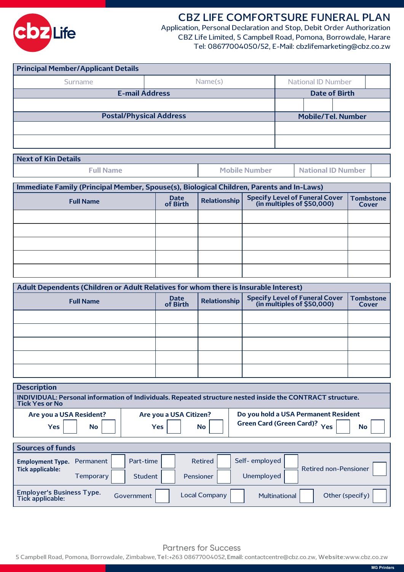

# **CBZ LIFE COMFORTSURE FUNERAL PLAN**

Application, Personal Declaration and Stop, Debit Order Authorization CBZ Life Limited, 5 Campbell Road, Pomona, Borrowdale, Harare Tel: 08677004050/52, E-Mail: cbzlifemarketing@cbz.co.zw

| <b>Principal Member/Applicant Details</b> |                                      |  |                           |  |  |  |  |  |
|-------------------------------------------|--------------------------------------|--|---------------------------|--|--|--|--|--|
| <b>Surname</b>                            | Name(s)<br><b>National ID Number</b> |  |                           |  |  |  |  |  |
| <b>E-mail Address</b>                     | <b>Date of Birth</b>                 |  |                           |  |  |  |  |  |
|                                           |                                      |  |                           |  |  |  |  |  |
| <b>Postal/Physical Address</b>            |                                      |  | <b>Mobile/Tel. Number</b> |  |  |  |  |  |
|                                           |                                      |  |                           |  |  |  |  |  |
|                                           |                                      |  |                           |  |  |  |  |  |

| <b>Next of Kin Details</b> |                      |
|----------------------------|----------------------|
| <b>Full Name</b>           | <b>Mobile Number</b> |

**National ID Number**

**Immediate Family (Principal Member, Spouse(s), Biological Children, Parents and In-Laws)**

| <b>Full Name</b> | Date<br>of Birth | Relationship | <b>Specify Level of Funeral Cover</b><br>(in multiples of \$50,000) |  |
|------------------|------------------|--------------|---------------------------------------------------------------------|--|
|                  |                  |              |                                                                     |  |
|                  |                  |              |                                                                     |  |
|                  |                  |              |                                                                     |  |
|                  |                  |              |                                                                     |  |
|                  |                  |              |                                                                     |  |

| Adult Dependents (Children or Adult Relatives for whom there is Insurable Interest) |                                                                                                                |  |  |                           |  |  |  |
|-------------------------------------------------------------------------------------|----------------------------------------------------------------------------------------------------------------|--|--|---------------------------|--|--|--|
| <b>Full Name</b>                                                                    | Specify Level of Funeral Cover<br>(in multiples of \$50,000)<br><b>Date</b><br><b>Relationship</b><br>of Birth |  |  | <b>Tombstone</b><br>Cover |  |  |  |
|                                                                                     |                                                                                                                |  |  |                           |  |  |  |
|                                                                                     |                                                                                                                |  |  |                           |  |  |  |
|                                                                                     |                                                                                                                |  |  |                           |  |  |  |
|                                                                                     |                                                                                                                |  |  |                           |  |  |  |
|                                                                                     |                                                                                                                |  |  |                           |  |  |  |

| <b>Description</b>                                                                                                                 |                        |                             |                                     |                              |                                                   |  |
|------------------------------------------------------------------------------------------------------------------------------------|------------------------|-----------------------------|-------------------------------------|------------------------------|---------------------------------------------------|--|
| INDIVIDUAL: Personal information of Individuals. Repeated structure nested inside the CONTRACT structure.<br><b>Tick Yes or No</b> |                        |                             |                                     |                              |                                                   |  |
| Are you a USA Resident?<br><b>Yes</b>                                                                                              | <b>No</b>              | <b>Yes</b>                  | Are you a USA Citizen?<br><b>No</b> | Green Card (Green Card)? Yes | Do you hold a USA Permanent Resident<br><b>No</b> |  |
| <b>Sources of funds</b>                                                                                                            |                        |                             |                                     |                              |                                                   |  |
| <b>Employment Type.</b><br><b>Tick applicable:</b>                                                                                 | Permanent<br>Temporary | Part-time<br><b>Student</b> | <b>Retired</b><br>Pensioner         | Self-employed<br>Unemployed  | <b>Retired non-Pensioner</b>                      |  |
| <b>Employer's Business Type.</b><br>Tick applicable:                                                                               |                        | Government                  | <b>Local Company</b>                | Multinational                | Other (specify)                                   |  |

Partners for Success

5 Campbell Road, Pomona, Borrowdale, Zimbabwe, **Tel :** +263 08677004052,**Email:** contactcentre@cbz.co.zw, **Website:** www.cbz.co.zw